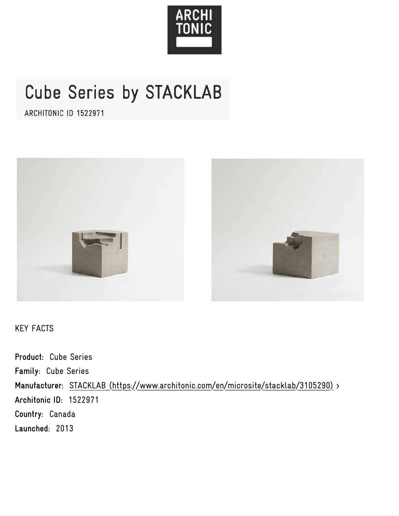

# Cube Series by STACKLAB

ARCHITONIC ID 1522971



KEY FACTS

**Product:** Cube Series **Family:** Cube Series **Manufacturer:** [STACKLAB \(https://www.architonic.com/en/microsite/stacklab/3105290\)](https://www.architonic.com/en/microsite/stacklab/3105290) > **Architonic ID:** 1522971 **Country:** Canada **Launched:** 2013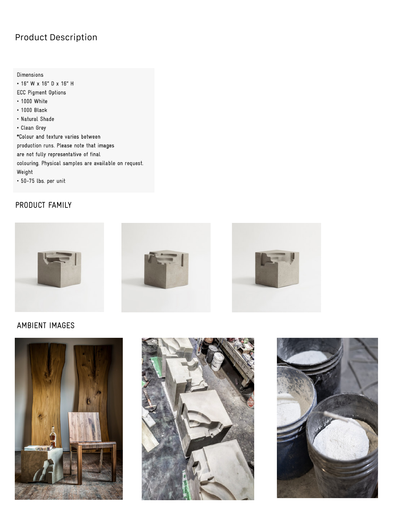## Product Description

Dimensions • 16" W x 16" D x 16" H **ECC Pigment Options**  $\cdot$  1000 White  $\cdot$  1000 Black • Natural Shade • Clean Grey \*Colour and texture varies between production runs. Please note that images are not fully representative of final colouring. Physical samples are available on request. Weight  $\cdot$  50-75 lbs. per unit

### PRODUCT [FAMILY](https://www.architonic.com/en/product/stacklab-cube-series/1522971)



#### AMBIENT IMAGES